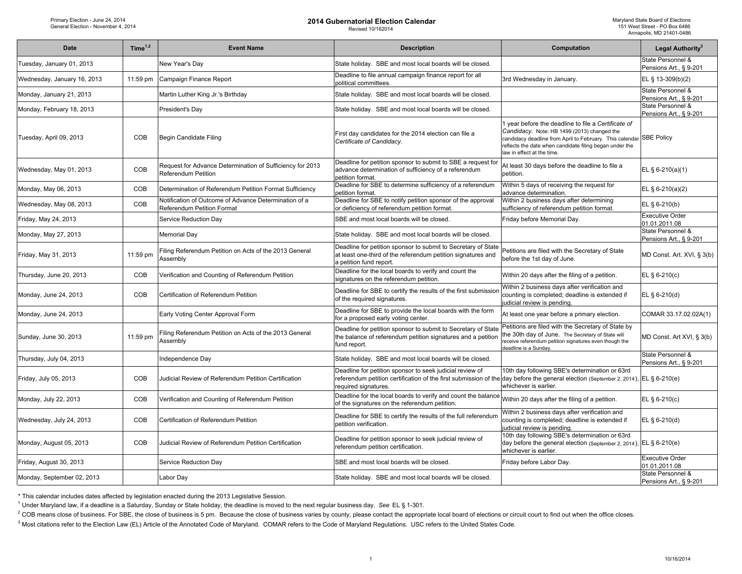| <b>Date</b>                 | Time <sup>1,2</sup> | <b>Event Name</b>                                                                       | <b>Description</b>                                                                                                                                                                                                      | Computation                                                                                                                                                                                                                                                        | Legal Authority <sup>3</sup>                |
|-----------------------------|---------------------|-----------------------------------------------------------------------------------------|-------------------------------------------------------------------------------------------------------------------------------------------------------------------------------------------------------------------------|--------------------------------------------------------------------------------------------------------------------------------------------------------------------------------------------------------------------------------------------------------------------|---------------------------------------------|
| Tuesday, January 01, 2013   |                     | New Year's Day                                                                          | State holiday. SBE and most local boards will be closed.                                                                                                                                                                |                                                                                                                                                                                                                                                                    | State Personnel &<br>Pensions Art., § 9-201 |
| Wednesday, January 16, 2013 | 11:59 pm            | Campaign Finance Report                                                                 | Deadline to file annual campaign finance report for all<br>political committees.                                                                                                                                        | 3rd Wednesday in January.                                                                                                                                                                                                                                          | EL § 13-309(b)(2)                           |
| Monday, January 21, 2013    |                     | Martin Luther King Jr.'s Birthday                                                       | State holiday. SBE and most local boards will be closed.                                                                                                                                                                |                                                                                                                                                                                                                                                                    | State Personnel &<br>Pensions Art., § 9-201 |
| Monday, February 18, 2013   |                     | President's Day                                                                         | State holiday. SBE and most local boards will be closed.                                                                                                                                                                |                                                                                                                                                                                                                                                                    | State Personnel &<br>Pensions Art., § 9-201 |
| Tuesday, April 09, 2013     | COB                 | Begin Candidate Filing                                                                  | First day candidates for the 2014 election can file a<br>Certificate of Candidacy.                                                                                                                                      | 1 year before the deadline to file a Certificate of<br>Candidacy. Note: HB 1499 (2013) changed the<br>candidacy deadline from April to February. This calendar SBE Policy<br>reflects the date when candidate filing began under the<br>law in effect at the time. |                                             |
| Wednesday, May 01, 2013     | COB                 | Request for Advance Determination of Sufficiency for 2013<br><b>Referendum Petition</b> | Deadline for petition sponsor to submit to SBE a request for<br>advance determination of sufficiency of a referendum<br>petition format.                                                                                | At least 30 days before the deadline to file a<br>petition.                                                                                                                                                                                                        | EL § 6-210(a)(1)                            |
| Monday, May 06, 2013        | COB                 | Determination of Referendum Petition Format Sufficiency                                 | Deadline for SBE to determine sufficiency of a referendum<br>betition format                                                                                                                                            | Within 5 days of receiving the request for<br>advance determination.                                                                                                                                                                                               | EL § 6-210(a)(2)                            |
| Wednesday, May 08, 2013     | COB                 | Notification of Outcome of Advance Determination of a<br>Referendum Petition Format     | Deadline for SBE to notify petition sponsor of the approval<br>or deficiency of referendum petition format.                                                                                                             | Within 2 business days after determining<br>sufficiency of referendum petition format.                                                                                                                                                                             | EL § 6-210(b)                               |
| Friday, May 24, 2013        |                     | Service Reduction Day                                                                   | SBE and most local boards will be closed.                                                                                                                                                                               | Friday before Memorial Day.                                                                                                                                                                                                                                        | <b>Executive Order</b><br>01.01.2011.08     |
| Monday, May 27, 2013        |                     | <b>Memorial Day</b>                                                                     | State holiday. SBE and most local boards will be closed.                                                                                                                                                                |                                                                                                                                                                                                                                                                    | State Personnel &<br>Pensions Art., § 9-201 |
| Friday, May 31, 2013        | 11:59 pm            | Filing Referendum Petition on Acts of the 2013 General<br>Assembly                      | Deadline for petition sponsor to submit to Secretary of State<br>at least one-third of the referendum petition signatures and<br>a petition fund report.                                                                | Petitions are filed with the Secretary of State<br>before the 1st day of June.                                                                                                                                                                                     | MD Const. Art. XVI, § 3(b)                  |
| Thursday, June 20, 2013     | COB                 | Verification and Counting of Referendum Petition                                        | Deadline for the local boards to verify and count the<br>signatures on the referendum petition.                                                                                                                         | Within 20 days after the filing of a petition.                                                                                                                                                                                                                     | EL $§ 6-210(c)$                             |
| Monday, June 24, 2013       | COB                 | Certification of Referendum Petition                                                    | Deadline for SBE to certify the results of the first submission<br>of the required signatures.                                                                                                                          | Within 2 business days after verification and<br>counting is completed; deadline is extended if<br>judicial review is pending.                                                                                                                                     | EL $§ 6-210(d)$                             |
| Monday, June 24, 2013       |                     | Early Voting Center Approval Form                                                       | Deadline for SBE to provide the local boards with the form<br>for a proposed early voting center.                                                                                                                       | At least one year before a primary election.                                                                                                                                                                                                                       | COMAR 33.17.02.02A(1)                       |
| Sunday, June 30, 2013       | 11:59 pm            | Filing Referendum Petition on Acts of the 2013 General<br>Assembly                      | Deadline for petition sponsor to submit to Secretary of State<br>the balance of referendum petition signatures and a petition<br>fund report.                                                                           | Petitions are filed with the Secretary of State by<br>the 30th day of June. The Secretary of State will<br>receive referendum petition signatures even though the<br>deadline is a Sunday.                                                                         | MD Const. Art XVI, § 3(b)                   |
| Thursday, July 04, 2013     |                     | Independence Day                                                                        | State holiday. SBE and most local boards will be closed.                                                                                                                                                                |                                                                                                                                                                                                                                                                    | State Personnel &<br>Pensions Art., § 9-201 |
| Friday, July 05, 2013       | COB                 | Judicial Review of Referendum Petition Certification                                    | Deadline for petition sponsor to seek judicial review of<br>referendum petition certification of the first submission of the day before the general election (September 2, 2014), EL § 6-210(e)<br>required signatures. | 10th day following SBE's determination or 63rd<br>whichever is earlier.                                                                                                                                                                                            |                                             |
| Monday, July 22, 2013       | COB                 | Verification and Counting of Referendum Petition                                        | Deadline for the local boards to verify and count the balance<br>of the signatures on the referendum petition.                                                                                                          | Within 20 days after the filing of a petition.                                                                                                                                                                                                                     | EL § 6-210(c)                               |
| Wednesday, July 24, 2013    | COB                 | Certification of Referendum Petition                                                    | Deadline for SBE to certify the results of the full referendum<br>petition verification.                                                                                                                                | Within 2 business days after verification and<br>counting is completed; deadline is extended if<br>judicial review is pending.                                                                                                                                     | EL $§$ 6-210(d)                             |
| Monday, August 05, 2013     | COB                 | Judicial Review of Referendum Petition Certification                                    | Deadline for petition sponsor to seek judicial review of<br>referendum petition certification.                                                                                                                          | 10th day following SBE's determination or 63rd<br>day before the general election (September 2, 2014), EL § 6-210(e)<br>whichever is earlier.                                                                                                                      |                                             |
| Friday, August 30, 2013     |                     | Service Reduction Day                                                                   | SBE and most local boards will be closed.                                                                                                                                                                               | Friday before Labor Day.                                                                                                                                                                                                                                           | <b>Executive Order</b><br>01.01.2011.08     |
| Monday, September 02, 2013  |                     | Labor Day                                                                               | State holiday. SBE and most local boards will be closed.                                                                                                                                                                |                                                                                                                                                                                                                                                                    | State Personnel &<br>Pensions Art., § 9-201 |

\* This calendar includes dates affected by legislation enacted during the 2013 Legislative Session.

1 Under Maryland law, if a deadline is a Saturday, Sunday or State holiday, the deadline is moved to the next regular business day. *See* EL § 1-301.

<sup>2</sup> COB means close of business. For SBE, the close of business is 5 pm. Because the close of business varies by county, please contact the appropriate local board of elections or circuit court to find out when the office

<sup>3</sup> Most citations refer to the Election Law (EL) Article of the Annotated Code of Maryland. COMAR refers to the Code of Maryland Regulations. USC refers to the United States Code.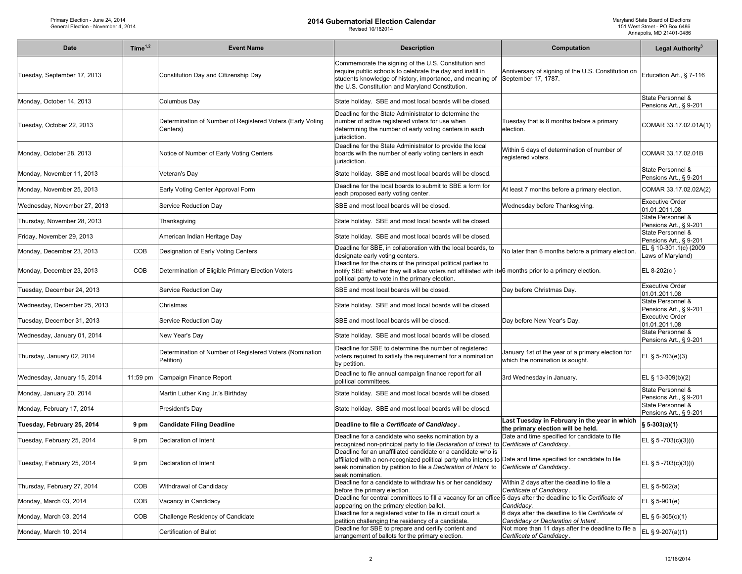| Date                         | Time $1,2$ | <b>Event Name</b>                                                      | <b>Description</b>                                                                                                                                                                                                                                                                            | Computation                                                                             | Legal Authority <sup>3</sup>                |
|------------------------------|------------|------------------------------------------------------------------------|-----------------------------------------------------------------------------------------------------------------------------------------------------------------------------------------------------------------------------------------------------------------------------------------------|-----------------------------------------------------------------------------------------|---------------------------------------------|
| Tuesday, September 17, 2013  |            | Constitution Day and Citizenship Day                                   | Commemorate the signing of the U.S. Constitution and<br>require public schools to celebrate the day and instill in<br>students knowledge of history, importance, and meaning of<br>the U.S. Constitution and Maryland Constitution.                                                           | Anniversary of signing of the U.S. Constitution on<br>September 17, 1787.               | Education Art., § 7-116                     |
| Monday, October 14, 2013     |            | Columbus Day                                                           | State holiday. SBE and most local boards will be closed.                                                                                                                                                                                                                                      |                                                                                         | State Personnel &<br>Pensions Art., § 9-201 |
| Tuesday, October 22, 2013    |            | Determination of Number of Registered Voters (Early Voting<br>Centers) | Deadline for the State Administrator to determine the<br>number of active registered voters for use when<br>determining the number of early voting centers in each<br>jurisdiction.                                                                                                           | Tuesday that is 8 months before a primary<br>election.                                  | COMAR 33.17.02.01A(1)                       |
| Monday, October 28, 2013     |            | Notice of Number of Early Voting Centers                               | Deadline for the State Administrator to provide the local<br>boards with the number of early voting centers in each<br>jurisdiction.                                                                                                                                                          | Within 5 days of determination of number of<br>registered voters.                       | COMAR 33.17.02.01B                          |
| Monday, November 11, 2013    |            | Veteran's Day                                                          | State holiday. SBE and most local boards will be closed.                                                                                                                                                                                                                                      |                                                                                         | State Personnel &<br>Pensions Art., § 9-201 |
| Monday, November 25, 2013    |            | Early Voting Center Approval Form                                      | Deadline for the local boards to submit to SBE a form for<br>each proposed early voting center.                                                                                                                                                                                               | At least 7 months before a primary election.                                            | COMAR 33.17.02.02A(2)                       |
| Wednesday, November 27, 2013 |            | Service Reduction Day                                                  | SBE and most local boards will be closed.                                                                                                                                                                                                                                                     | Wednesday before Thanksgiving.                                                          | <b>Executive Order</b><br>01.01.2011.08     |
| Thursday, November 28, 2013  |            | Thanksgiving                                                           | State holiday. SBE and most local boards will be closed.                                                                                                                                                                                                                                      |                                                                                         | State Personnel &<br>Pensions Art., § 9-201 |
| Friday, November 29, 2013    |            | American Indian Heritage Day                                           | State holiday. SBE and most local boards will be closed.                                                                                                                                                                                                                                      |                                                                                         | State Personnel &<br>Pensions Art., § 9-201 |
| Monday, December 23, 2013    | COB        | Designation of Early Voting Centers                                    | Deadline for SBE, in collaboration with the local boards, to<br>designate early voting centers.                                                                                                                                                                                               | No later than 6 months before a primary election.                                       | EL § 10-301.1(c) (2009<br>aws of Maryland)  |
| Monday, December 23, 2013    | COB        | Determination of Eligible Primary Election Voters                      | Deadline for the chairs of the principal political parties to<br>notify SBE whether they will allow voters not affiliated with its 6 months prior to a primary election.<br>political party to vote in the primary election.                                                                  |                                                                                         | EL 8-202(c)                                 |
| Tuesday, December 24, 2013   |            | Service Reduction Day                                                  | SBE and most local boards will be closed.                                                                                                                                                                                                                                                     | Day before Christmas Day.                                                               | <b>Executive Order</b><br>01.01.2011.08     |
| Wednesday, December 25, 2013 |            | Christmas                                                              | State holiday. SBE and most local boards will be closed.                                                                                                                                                                                                                                      |                                                                                         | State Personnel &<br>Pensions Art., § 9-201 |
| Tuesday, December 31, 2013   |            | Service Reduction Day                                                  | SBE and most local boards will be closed.                                                                                                                                                                                                                                                     | Day before New Year's Day.                                                              | Executive Order<br>01.01.2011.08            |
| Wednesday, January 01, 2014  |            | New Year's Day                                                         | State holiday. SBE and most local boards will be closed.                                                                                                                                                                                                                                      |                                                                                         | State Personnel &<br>Pensions Art., § 9-201 |
| Thursday, January 02, 2014   |            | Determination of Number of Registered Voters (Nomination<br>Petition)  | Deadline for SBE to determine the number of registered<br>voters required to satisfy the requirement for a nomination<br>by petition.                                                                                                                                                         | January 1st of the year of a primary election for<br>which the nomination is sought.    | EL § 5-703(e)(3)                            |
| Wednesday, January 15, 2014  | $11:59$ pm | Campaign Finance Report                                                | Deadline to file annual campaign finance report for all<br>political committees.                                                                                                                                                                                                              | 3rd Wednesday in January.                                                               | EL § 13-309(b)(2)                           |
| Monday, January 20, 2014     |            | Martin Luther King Jr.'s Birthday                                      | State holiday. SBE and most local boards will be closed.                                                                                                                                                                                                                                      |                                                                                         | State Personnel &<br>Pensions Art., § 9-201 |
| Monday, February 17, 2014    |            | President's Day                                                        | State holiday. SBE and most local boards will be closed.                                                                                                                                                                                                                                      |                                                                                         | State Personnel &<br>Pensions Art., § 9-201 |
| Tuesday, February 25, 2014   | 9 pm       | <b>Candidate Filing Deadline</b>                                       | Deadline to file a Certificate of Candidacy.                                                                                                                                                                                                                                                  | Last Tuesday in February in the year in which<br>the primary election will be held.     | $$5-303(a)(1)$                              |
| Tuesday, February 25, 2014   | 9 pm       | Declaration of Intent                                                  | Deadline for a candidate who seeks nomination by a<br>recognized non-principal party to file Declaration of Intent to Certificate of Candidacy                                                                                                                                                | Date and time specified for candidate to file                                           | EL § 5 -703(c)(3)(i)                        |
| Tuesday, February 25, 2014   | 9 pm       | Declaration of Intent                                                  | Deadline for an unaffiliated candidate or a candidate who is<br>affiliated with a non-recognized political party who intends to Date and time specified for candidate to file<br>seek nomination by petition to file a Declaration of Intent to Certificate of Candidacy.<br>seek nomination. |                                                                                         | EL § 5 -703(c)(3)(i)                        |
| Thursday, February 27, 2014  | <b>COB</b> | Withdrawal of Candidacy                                                | Deadline for a candidate to withdraw his or her candidacy<br>before the primary election.                                                                                                                                                                                                     | Within 2 days after the deadline to file a<br>Certificate of Candidacy.                 | EL $§ 5-502(a)$                             |
| Monday, March 03, 2014       | COB        | Vacancy in Candidacy                                                   | Deadline for central committees to fill a vacancy for an office 5 days after the deadline to file Certificate of<br>appearing on the primary election ballot.                                                                                                                                 | Candidacy.                                                                              | EL $§ 5-901(e)$                             |
| Monday, March 03, 2014       | COB        | Challenge Residency of Candidate                                       | Deadline for a registered voter to file in circuit court a<br>petition challenging the residency of a candidate.                                                                                                                                                                              | 6 days after the deadline to file Certificate of<br>Candidacy or Declaration of Intent. | EL § 5-305(c)(1)                            |
| Monday, March 10, 2014       |            | Certification of Ballot                                                | Deadline for SBE to prepare and certify content and<br>arrangement of ballots for the primary election.                                                                                                                                                                                       | Not more than 11 days after the deadline to file a<br>Certificate of Candidacy.         | EL § 9-207(a)(1)                            |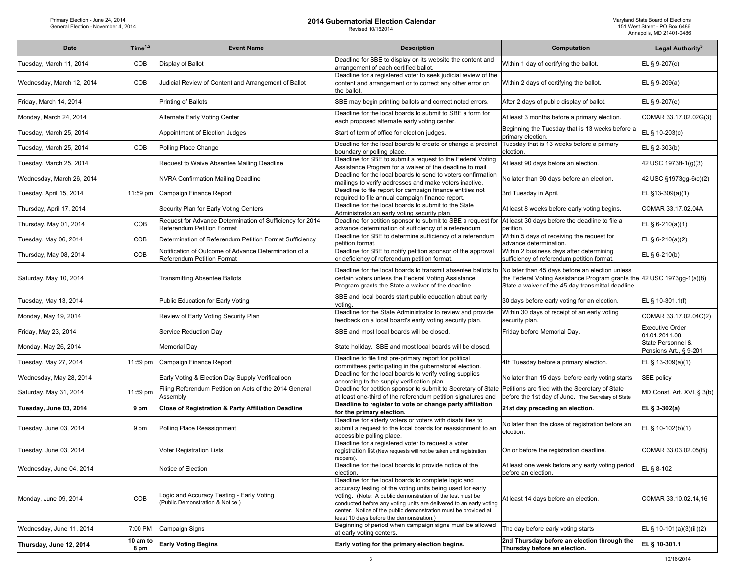| Date                      | Time $1,2$       | <b>Event Name</b>                                                                              | <b>Description</b>                                                                                                                                                                                                                                                                                                                                                | Computation                                                                                                                                                                     | Legal Authority <sup>3</sup>                |
|---------------------------|------------------|------------------------------------------------------------------------------------------------|-------------------------------------------------------------------------------------------------------------------------------------------------------------------------------------------------------------------------------------------------------------------------------------------------------------------------------------------------------------------|---------------------------------------------------------------------------------------------------------------------------------------------------------------------------------|---------------------------------------------|
| Tuesday, March 11, 2014   | COB              | Display of Ballot                                                                              | Deadline for SBE to display on its website the content and<br>arrangement of each certified ballot.                                                                                                                                                                                                                                                               | Within 1 day of certifying the ballot.                                                                                                                                          | EL § 9-207(c)                               |
| Wednesday, March 12, 2014 | COB              | Judicial Review of Content and Arrangement of Ballot                                           | Deadline for a registered voter to seek judicial review of the<br>content and arrangement or to correct any other error on<br>the ballot.                                                                                                                                                                                                                         | Within 2 days of certifying the ballot.                                                                                                                                         | EL § 9-209(a)                               |
| Friday, March 14, 2014    |                  | Printing of Ballots                                                                            | SBE may begin printing ballots and correct noted errors.                                                                                                                                                                                                                                                                                                          | After 2 days of public display of ballot.                                                                                                                                       | EL § 9-207(e)                               |
| Monday, March 24, 2014    |                  | Alternate Early Voting Center                                                                  | Deadline for the local boards to submit to SBE a form for<br>each proposed alternate early voting center.                                                                                                                                                                                                                                                         | At least 3 months before a primary election.                                                                                                                                    | COMAR 33.17.02.02G(3)                       |
| Tuesday, March 25, 2014   |                  | Appointment of Election Judges                                                                 | Start of term of office for election judges.                                                                                                                                                                                                                                                                                                                      | Beginning the Tuesday that is 13 weeks before a<br>primary election.                                                                                                            | EL § 10-203(c)                              |
| Tuesday, March 25, 2014   | COB              | Polling Place Change                                                                           | Deadline for the local boards to create or change a precinct<br>boundary or polling place.                                                                                                                                                                                                                                                                        | Tuesday that is 13 weeks before a primary<br>election.                                                                                                                          | EL § 2-303(b)                               |
| Tuesday, March 25, 2014   |                  | Request to Waive Absentee Mailing Deadline                                                     | Deadline for SBE to submit a request to the Federal Voting<br>Assistance Program for a waiver of the deadline to mail                                                                                                                                                                                                                                             | At least 90 days before an election.                                                                                                                                            | 42 USC 1973ff-1(g)(3)                       |
| Wednesday, March 26, 2014 |                  | <b>NVRA Confirmation Mailing Deadline</b>                                                      | Deadline for the local boards to send to voters confirmation<br>mailings to verify addresses and make voters inactive.                                                                                                                                                                                                                                            | No later than 90 days before an election.                                                                                                                                       | 42 USC §1973gg-6(c)(2)                      |
| Tuesday, April 15, 2014   | 11:59 pm         | Campaign Finance Report                                                                        | Deadline to file report for campaign finance entities not<br>required to file annual campaign finance report.                                                                                                                                                                                                                                                     | 3rd Tuesday in April.                                                                                                                                                           | EL §13-309(a)(1)                            |
| Thursday, April 17, 2014  |                  | Security Plan for Early Voting Centers                                                         | Deadline for the local boards to submit to the State<br>Administrator an early voting security plan.                                                                                                                                                                                                                                                              | At least 8 weeks before early voting begins.                                                                                                                                    | COMAR 33.17.02.04A                          |
| Thursday, May 01, 2014    | COB              | Request for Advance Determination of Sufficiency for 2014<br><b>Referendum Petition Format</b> | Deadline for petition sponsor to submit to SBE a request for<br>advance determination of sufficiency of a referendum                                                                                                                                                                                                                                              | At least 30 days before the deadline to file a<br>petition.                                                                                                                     | EL $§ 6-210(a)(1)$                          |
| Tuesday, May 06, 2014     | COB              | Determination of Referendum Petition Format Sufficiency                                        | Deadline for SBE to determine sufficiency of a referendum<br>petition format                                                                                                                                                                                                                                                                                      | Within 5 days of receiving the request for<br>advance determination.                                                                                                            | EL $§ 6-210(a)(2)$                          |
| Thursday, May 08, 2014    | COB              | Notification of Outcome of Advance Determination of a<br><b>Referendum Petition Format</b>     | Deadline for SBE to notify petition sponsor of the approval<br>or deficiency of referendum petition format.                                                                                                                                                                                                                                                       | Within 2 business days after determining<br>sufficiency of referendum petition format.                                                                                          | EL § 6-210(b)                               |
| Saturday, May 10, 2014    |                  | <b>Transmitting Absentee Ballots</b>                                                           | Deadline for the local boards to transmit absentee ballots to<br>certain voters unless the Federal Voting Assistance<br>Program grants the State a waiver of the deadline.                                                                                                                                                                                        | No later than 45 days before an election unless<br>the Federal Voting Assistance Program grants the 42 USC 1973gg-1(a)(8)<br>State a waiver of the 45 day transmittal deadline. |                                             |
| Tuesday, May 13, 2014     |                  | Public Education for Early Voting                                                              | SBE and local boards start public education about early<br>votina.                                                                                                                                                                                                                                                                                                | 30 days before early voting for an election.                                                                                                                                    | EL § 10-301.1(f)                            |
| Monday, May 19, 2014      |                  | Review of Early Voting Security Plan                                                           | Deadline for the State Administrator to review and provide<br>feedback on a local board's early voting security plan.                                                                                                                                                                                                                                             | Within 30 days of receipt of an early voting<br>security plan.                                                                                                                  | COMAR 33.17.02.04C(2)                       |
| Friday, May 23, 2014      |                  | Service Reduction Day                                                                          | SBE and most local boards will be closed.                                                                                                                                                                                                                                                                                                                         | Friday before Memorial Day.                                                                                                                                                     | <b>Executive Order</b><br>01.01.2011.08     |
| Monday, May 26, 2014      |                  | <b>Memorial Day</b>                                                                            | State holiday. SBE and most local boards will be closed.                                                                                                                                                                                                                                                                                                          |                                                                                                                                                                                 | State Personnel &<br>Pensions Art., § 9-201 |
| Tuesday, May 27, 2014     | $11:59$ pm       | Campaign Finance Report                                                                        | Deadline to file first pre-primary report for political<br>committees participating in the gubernatorial election.                                                                                                                                                                                                                                                | 4th Tuesday before a primary election.                                                                                                                                          | EL § 13-309(a)(1)                           |
| Wednesday, May 28, 2014   |                  | Early Voting & Election Day Supply Verificatioon                                               | Deadline for the local boards to verify voting supplies<br>according to the supply verification plan                                                                                                                                                                                                                                                              | No later than 15 days before early voting starts                                                                                                                                | SBE policy                                  |
| Saturday, May 31, 2014    | 11:59 pm         | Filing Referendum Petition on Acts of the 2014 General<br>Assembly                             | Deadline for petition sponsor to submit to Secretary of State<br>at least one-third of the referendum petition signatures and                                                                                                                                                                                                                                     | Petitions are filed with the Secretary of State<br>before the 1st day of June. The Secretary of State                                                                           | MD Const. Art. XVI, § 3(b)                  |
| Tuesday, June 03, 2014    | 9 pm             | Close of Registration & Party Affiliation Deadline                                             | Deadline to register to vote or change party affiliation<br>for the primary election.                                                                                                                                                                                                                                                                             | 21st day preceding an election.                                                                                                                                                 | EL § 3-302(a)                               |
| Tuesday, June 03, 2014    | 9 pm             | Polling Place Reassignment                                                                     | Deadline for elderly voters or voters with disabilities to<br>submit a request to the local boards for reassignment to an<br>accessible polling place.                                                                                                                                                                                                            | No later than the close of registration before an<br>election.                                                                                                                  | EL § 10-102(b)(1)                           |
| Tuesday, June 03, 2014    |                  | <b>Voter Registration Lists</b>                                                                | Deadline for a registered voter to request a voter<br>registration list (New requests will not be taken until registration<br>eopens).                                                                                                                                                                                                                            | On or before the registration deadline.                                                                                                                                         | COMAR 33.03.02.05(B)                        |
| Wednesday, June 04, 2014  |                  | Notice of Election                                                                             | Deadline for the local boards to provide notice of the<br>election.                                                                                                                                                                                                                                                                                               | At least one week before any early voting period<br>before an election.                                                                                                         | EL § 8-102                                  |
| Monday, June 09, 2014     | COB              | Logic and Accuracy Testing - Early Voting<br>(Public Demonstration & Notice)                   | Deadline for the local boards to complete logic and<br>accuracy testing of the voting units being used for early<br>voting. (Note: A public demonstration of the test must be<br>conducted before any voting units are delivered to an early voting<br>center. Notice of the public demonstration must be provided at<br>least 10 days before the demonstration.) | At least 14 days before an election.                                                                                                                                            | COMAR 33.10.02.14,16                        |
| Wednesday, June 11, 2014  | 7:00 PM          | Campaign Signs                                                                                 | Beginning of period when campaign signs must be allowed<br>at early voting centers.                                                                                                                                                                                                                                                                               | The day before early voting starts                                                                                                                                              | EL § 10-101(a)(3)(iii)(2)                   |
| Thursday, June 12, 2014   | 10 am to<br>8 pm | <b>Early Voting Begins</b>                                                                     | Early voting for the primary election begins.                                                                                                                                                                                                                                                                                                                     | 2nd Thursday before an election through the<br>Thursday before an election.                                                                                                     | EL § 10-301.1                               |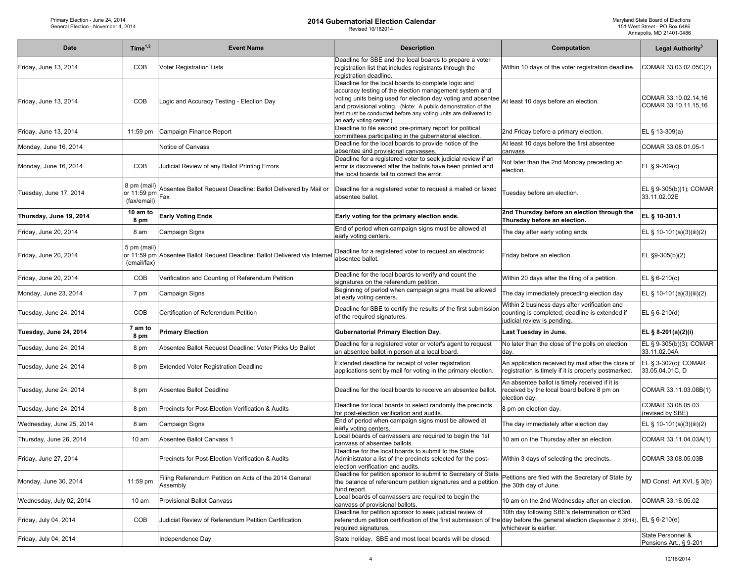| <b>Date</b>              | Time $1,2$                                | <b>Event Name</b>                                                    | <b>Description</b>                                                                                                                                                                                                                                                                                                                           | Computation                                                                                                                    | Legal Authority <sup>3</sup>                 |
|--------------------------|-------------------------------------------|----------------------------------------------------------------------|----------------------------------------------------------------------------------------------------------------------------------------------------------------------------------------------------------------------------------------------------------------------------------------------------------------------------------------------|--------------------------------------------------------------------------------------------------------------------------------|----------------------------------------------|
| Friday, June 13, 2014    | COB                                       | Voter Registration Lists                                             | Deadline for SBE and the local boards to prepare a voter<br>registration list that includes registrants through the<br>registration deadline.                                                                                                                                                                                                | Within 10 days of the voter registration deadline.                                                                             | COMAR 33.03.02.05C(2)                        |
| Friday, June 13, 2014    | COB                                       | ogic and Accuracy Testing - Election Day                             | Deadline for the local boards to complete logic and<br>accuracy testing of the election management system and<br>voting units being used for election day voting and absentee<br>and provisional voting. (Note: A public demonstration of the<br>test must be conducted before any voting units are delivered to<br>an early voting center.) | At least 10 days before an election.                                                                                           | COMAR 33.10.02.14,16<br>COMAR 33.10.11.15,16 |
| Friday, June 13, 2014    | $11:59$ pm                                | Campaign Finance Report                                              | Deadline to file second pre-primary report for political<br>committees participating in the gubernatorial election.                                                                                                                                                                                                                          | 2nd Friday before a primary election.                                                                                          | EL § 13-309(a)                               |
| Monday, June 16, 2014    |                                           | Notice of Canvass                                                    | Deadline for the local boards to provide notice of the<br>absentee and provisional canvasses.                                                                                                                                                                                                                                                | At least 10 days before the first absentee<br>canvass                                                                          | COMAR 33.08.01.05-1                          |
| Monday, June 16, 2014    | <b>COB</b>                                | Judicial Review of any Ballot Printing Errors                        | Deadline for a registered voter to seek judicial review if an<br>error is discovered after the ballots have been printed and<br>the local boards fail to correct the error.                                                                                                                                                                  | Not later than the 2nd Monday preceding an<br>election.                                                                        | EL § 9-209(c)                                |
| Tuesday, June 17, 2014   | 8 pm (mail)<br>or 11:59 pn<br>(fax/email) | Absentee Ballot Request Deadline: Ballot Delivered by Mail or<br>Fax | Deadline for a registered voter to request a mailed or faxed<br>absentee ballot.                                                                                                                                                                                                                                                             | Tuesday before an election.                                                                                                    | EL § 9-305(b)(1); COMAR<br>33.11.02.02E      |
| Thursday, June 19, 2014  | 10 am to<br>8 pm                          | <b>Early Voting Ends</b>                                             | Early voting for the primary election ends.                                                                                                                                                                                                                                                                                                  | 2nd Thursday before an election through the<br>Thursday before an election.                                                    | EL § 10-301.1                                |
| Friday, June 20, 2014    | 8 am                                      | Campaign Signs                                                       | End of period when campaign signs must be allowed at<br>early voting centers.                                                                                                                                                                                                                                                                | The day after early voting ends                                                                                                | EL § 10-101(a)(3)(iii)(2)                    |
| Friday, June 20, 2014    | 5 pm (mail)<br>or 11:59 pm<br>(email/fax) | Absentee Ballot Request Deadline: Ballot Delivered via Internet      | Deadline for a registered voter to request an electronic<br>absentee ballot.                                                                                                                                                                                                                                                                 | Friday before an election.                                                                                                     | EL §9-305(b)(2)                              |
| Friday, June 20, 2014    | <b>COB</b>                                | Verification and Counting of Referendum Petition                     | Deadline for the local boards to verify and count the<br>signatures on the referendum petition.                                                                                                                                                                                                                                              | Within 20 days after the filing of a petition.                                                                                 | EL § 6-210(c)                                |
| Monday, June 23, 2014    | 7 pm                                      | Campaign Signs                                                       | Beginning of period when campaign signs must be allowed<br>at early voting centers.                                                                                                                                                                                                                                                          | The day immediately preceding election day                                                                                     | EL § 10-101(a)(3)(iii)(2)                    |
| Tuesday, June 24, 2014   | <b>COB</b>                                | Certification of Referendum Petition                                 | Deadline for SBE to certify the results of the first submissior<br>of the required signatures.                                                                                                                                                                                                                                               | Within 2 business days after verification and<br>counting is completed; deadline is extended if<br>judicial review is pending. | EL § 6-210(d)                                |
| Tuesday, June 24, 2014   | 7 am to<br>8 pm                           | <b>Primary Election</b>                                              | <b>Gubernatorial Primary Election Day.</b>                                                                                                                                                                                                                                                                                                   | Last Tuesday in June.                                                                                                          | EL § 8-201(a)(2)(i)                          |
| Tuesday, June 24, 2014   | 8 pm                                      | Absentee Ballot Request Deadline: Voter Picks Up Ballot              | Deadline for a registered voter or voter's agent to request<br>an absentee ballot in person at a local board.                                                                                                                                                                                                                                | No later than the close of the polls on election<br>day.                                                                       | EL § 9-305(b)(3); COMAR<br>33.11.02.04A      |
| Tuesday, June 24, 2014   | 8 pm                                      | Extended Voter Registration Deadline                                 | Extended deadline for receipt of voter registration<br>applications sent by mail for voting in the primary election.                                                                                                                                                                                                                         | An application received by mail after the close of<br>registration is timely if it is properly postmarked.                     | EL § 3-302(c); COMAR<br>33.05.04.01C, D      |
| Tuesday, June 24, 2014   | 8 pm                                      | Absentee Ballot Deadline                                             | Deadline for the local boards to receive an absentee ballot.                                                                                                                                                                                                                                                                                 | An absentee ballot is timely received if it is<br>received by the local board before 8 pm on<br>election day.                  | COMAR 33.11.03.08B(1)                        |
| Tuesday, June 24, 2014   | 8 pm                                      | <b>Precincts for Post-Election Verification &amp; Audits</b>         | Deadline for local boards to select randomly the precincts<br>for post-election verification and audits.                                                                                                                                                                                                                                     | 8 pm on election day.                                                                                                          | COMAR 33.08.05.03<br>(revised by SBE)        |
| Wednesday, June 25, 2014 | 8 am                                      | Campaign Signs                                                       | End of period when campaign signs must be allowed at<br>early voting centers.                                                                                                                                                                                                                                                                | The day immediately after election day                                                                                         | EL § 10-101(a)(3)(iii)(2)                    |
| Thursday, June 26, 2014  | 10 <sub>am</sub>                          | Absentee Ballot Canvass 1                                            | -ocal boards of canvassers are required to begin the 1st<br>canvass of absentee ballots.                                                                                                                                                                                                                                                     | 10 am on the Thursday after an election.                                                                                       | COMAR 33.11.04.03A(1)                        |
| Friday, June 27, 2014    |                                           | Precincts for Post-Election Verification & Audits                    | Deadline for the local boards to submit to the State<br>Administrator a list of the precincts selected for the post-<br>election verification and audits.                                                                                                                                                                                    | Within 3 days of selecting the precincts.                                                                                      | COMAR 33.08.05.03B                           |
| Monday, June 30, 2014    | 11:59 pm                                  | Filing Referendum Petition on Acts of the 2014 General<br>Assembly   | Deadline for petition sponsor to submit to Secretary of State<br>the balance of referendum petition signatures and a petition<br>fund report.                                                                                                                                                                                                | Petitions are filed with the Secretary of State by<br>the 30th day of June.                                                    | MD Const. Art XVI, § 3(b)                    |
| Wednesday, July 02, 2014 | 10 <sub>am</sub>                          | <b>Provisional Ballot Canvass</b>                                    | Local boards of canvassers are required to begin the<br>canvass of provisional ballots.                                                                                                                                                                                                                                                      | 10 am on the 2nd Wednesday after an election.                                                                                  | COMAR 33.16.05.02                            |
| Friday, July 04, 2014    | COB                                       | Judicial Review of Referendum Petition Certification                 | Deadline for petition sponsor to seek judicial review of<br>referendum petition certification of the first submission of the<br>required signatures.                                                                                                                                                                                         | 10th day following SBE's determination or 63rd<br>day before the general election (September 2, 2014)<br>whichever is earlier. | EL $§ 6-210(e)$                              |
| Friday, July 04, 2014    |                                           | Independence Day                                                     | State holiday. SBE and most local boards will be closed.                                                                                                                                                                                                                                                                                     |                                                                                                                                | State Personnel &<br>Pensions Art., § 9-201  |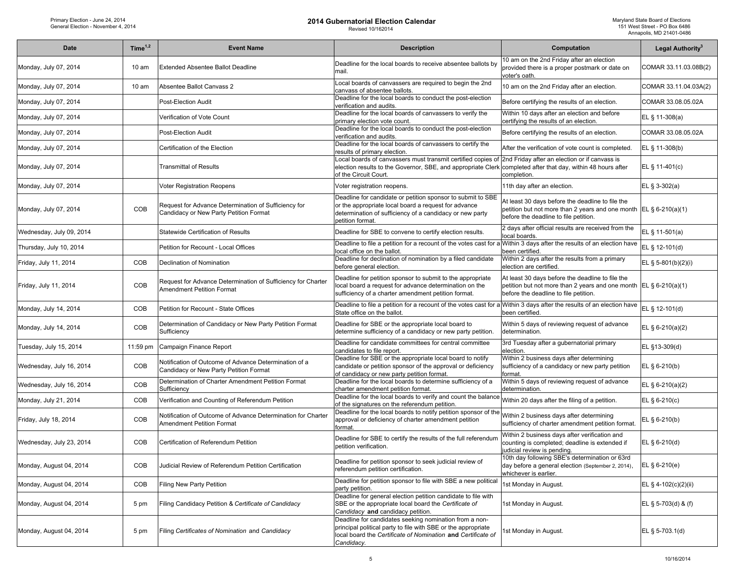| <b>Date</b>              | Time <sup>1,2</sup> | <b>Event Name</b>                                                                                | <b>Description</b>                                                                                                                                                                                    | Computation                                                                                                                                                                      | Legal Authority <sup>3</sup> |
|--------------------------|---------------------|--------------------------------------------------------------------------------------------------|-------------------------------------------------------------------------------------------------------------------------------------------------------------------------------------------------------|----------------------------------------------------------------------------------------------------------------------------------------------------------------------------------|------------------------------|
| Monday, July 07, 2014    | $10 \text{ am}$     | <b>Extended Absentee Ballot Deadline</b>                                                         | Deadline for the local boards to receive absentee ballots by<br>mail.                                                                                                                                 | 10 am on the 2nd Friday after an election<br>provided there is a proper postmark or date on<br>voter's oath.                                                                     | COMAR 33.11.03.08B(2)        |
| Monday, July 07, 2014    | $10 \text{ am}$     | Absentee Ballot Canvass 2                                                                        | Local boards of canvassers are required to begin the 2nd<br>canvass of absentee ballots.                                                                                                              | 10 am on the 2nd Friday after an election.                                                                                                                                       | COMAR 33.11.04.03A(2)        |
| Monday, July 07, 2014    |                     | Post-Election Audit                                                                              | Deadline for the local boards to conduct the post-election<br>verification and audits.                                                                                                                | Before certifying the results of an election.                                                                                                                                    | COMAR 33.08.05.02A           |
| Monday, July 07, 2014    |                     | Verification of Vote Count                                                                       | Deadline for the local boards of canvassers to verify the<br>primary election vote count.                                                                                                             | Within 10 days after an election and before<br>certifying the results of an election.                                                                                            | EL § 11-308(a)               |
| Monday, July 07, 2014    |                     | Post-Election Audit                                                                              | Deadline for the local boards to conduct the post-election<br>verification and audits.                                                                                                                | Before certifying the results of an election.                                                                                                                                    | COMAR 33.08.05.02A           |
| Monday, July 07, 2014    |                     | Certification of the Election                                                                    | Deadline for the local boards of canvassers to certify the<br>results of primary election.                                                                                                            | After the verification of vote count is completed.                                                                                                                               | EL § 11-308(b)               |
| Monday, July 07, 2014    |                     | <b>Transmittal of Results</b>                                                                    | Local boards of canvassers must transmit certified copies of<br>election results to the Governor, SBE, and appropriate Clerk<br>of the Circuit Court.                                                 | 2nd Friday after an election or if canvass is<br>completed after that day, within 48 hours after<br>completion.                                                                  | EL § 11-401(c)               |
| Monday, July 07, 2014    |                     | Voter Registration Reopens                                                                       | Voter registration reopens.                                                                                                                                                                           | 11th day after an election.                                                                                                                                                      | EL § 3-302(a)                |
| Monday, July 07, 2014    | COB                 | Request for Advance Determination of Sufficiency for<br>Candidacy or New Party Petition Format   | Deadline for candidate or petition sponsor to submit to SBE<br>or the appropriate local board a request for advance<br>determination of sufficiency of a candidacy or new party<br>petition format    | At least 30 days before the deadline to file the<br>petition but not more than 2 years and one month $\mathsf{EL}\S\6\text{-}210(a)(1)$<br>before the deadline to file petition. |                              |
| Wednesday, July 09, 2014 |                     | Statewide Certification of Results                                                               | Deadline for SBE to convene to certify election results.                                                                                                                                              | 2 days after official results are received from the<br>ocal boards.                                                                                                              | EL § 11-501(a)               |
| Thursday, July 10, 2014  |                     | Petition for Recount - Local Offices                                                             | Deadline to file a petition for a recount of the votes cast for a<br>local office on the ballot.                                                                                                      | Within 3 days after the results of an election have<br>been certified.                                                                                                           | EL § 12-101(d)               |
| Friday, July 11, 2014    | COB                 | Declination of Nomination                                                                        | Deadline for declination of nomination by a filed candidate<br>before general election.                                                                                                               | Within 2 days after the results from a primary<br>election are certified.                                                                                                        | EL § 5-801(b)(2)(i)          |
| Friday, July 11, 2014    | COB                 | Request for Advance Determination of Sufficiency for Charter<br><b>Amendment Petition Format</b> | Deadline for petition sponsor to submit to the appropriate<br>local board a request for advance determination on the<br>sufficiency of a charter amendment petition format.                           | At least 30 days before the deadline to file the<br>petition but not more than 2 years and one month EL § 6-210(a)(1)<br>before the deadline to file petition.                   |                              |
| Monday, July 14, 2014    | COB                 | Petition for Recount - State Offices                                                             | Deadline to file a petition for a recount of the votes cast for a Within 3 days after the results of an election have<br>State office on the ballot.                                                  | been certified.                                                                                                                                                                  | EL § 12-101(d)               |
| Monday, July 14, 2014    | COB                 | Determination of Candidacy or New Party Petition Format<br>Sufficiency                           | Deadline for SBE or the appropriate local board to<br>determine sufficiency of a candidacy or new party petition.                                                                                     | Within 5 days of reviewing request of advance<br>determination.                                                                                                                  | EL § 6-210(a)(2)             |
| Tuesday, July 15, 2014   | 11:59 pm            | Campaign Finance Report                                                                          | Deadline for candidate committees for central committee<br>candidates to file report.                                                                                                                 | 3rd Tuesday after a gubernatorial primary<br>election.                                                                                                                           | EL §13-309(d)                |
| Wednesday, July 16, 2014 | COB                 | Notification of Outcome of Advance Determination of a<br>Candidacy or New Party Petition Format  | Deadline for SBE or the appropriate local board to notify<br>candidate or petition sponsor of the approval or deficiency<br>of candidacy or new party petition format.                                | Within 2 business days after determining<br>sufficiency of a candidacy or new party petition<br>format.                                                                          | EL § 6-210(b)                |
| Wednesday, July 16, 2014 | COB                 | Determination of Charter Amendment Petition Format<br>Sufficiency                                | Deadline for the local boards to determine sufficiency of a<br>charter amendment petition format.                                                                                                     | Within 5 days of reviewing request of advance<br>determination.                                                                                                                  | EL § 6-210(a)(2)             |
| Monday, July 21, 2014    | COB                 | Verification and Counting of Referendum Petition                                                 | Deadline for the local boards to verify and count the balance<br>of the signatures on the referendum petition.                                                                                        | Within 20 days after the filing of a petition.                                                                                                                                   | EL $§$ 6-210(c)              |
| Friday, July 18, 2014    | COB                 | Notification of Outcome of Advance Determination for Charter<br><b>Amendment Petition Format</b> | Deadline for the local boards to notify petition sponsor of the<br>approval or deficiency of charter amendment petition<br>format                                                                     | Within 2 business days after determining<br>sufficiency of charter amendment petition format.                                                                                    | EL § 6-210(b)                |
| Wednesday, July 23, 2014 | COB                 | Certification of Referendum Petition                                                             | Deadline for SBE to certify the results of the full referendum<br>petition verification.                                                                                                              | Within 2 business days after verification and<br>counting is completed; deadline is extended if<br>udicial review is pending.                                                    | EL § 6-210(d)                |
| Monday, August 04, 2014  | COB                 | Judicial Review of Referendum Petition Certification                                             | Deadline for petition sponsor to seek judicial review of<br>referendum petition certification.                                                                                                        | 10th day following SBE's determination or 63rd<br>day before a general election (September 2, 2014),<br>whichever is earlier.                                                    | $ EL § 6-210(e) $            |
| Monday, August 04, 2014  | COB                 | Filing New Party Petition                                                                        | Deadline for petition sponsor to file with SBE a new political<br>party petition.                                                                                                                     | 1st Monday in August.                                                                                                                                                            | EL § 4-102(c)(2)(ii)         |
| Monday, August 04, 2014  | 5 pm                | Filing Candidacy Petition & Certificate of Candidacy                                             | Deadline for general election petition candidate to file with<br>SBE or the appropriate local board the Certificate of<br>Candidacy and candidacy petition.                                           | 1st Monday in August.                                                                                                                                                            | EL § 5-703(d) & (f)          |
| Monday, August 04, 2014  | 5 pm                | Filing Certificates of Nomination and Candidacy                                                  | Deadline for candidates seeking nomination from a non-<br>principal political party to file with SBE or the appropriate<br>local board the Certificate of Nomination and Certificate of<br>Candidacy. | 1st Monday in August.                                                                                                                                                            | EL § 5-703.1(d)              |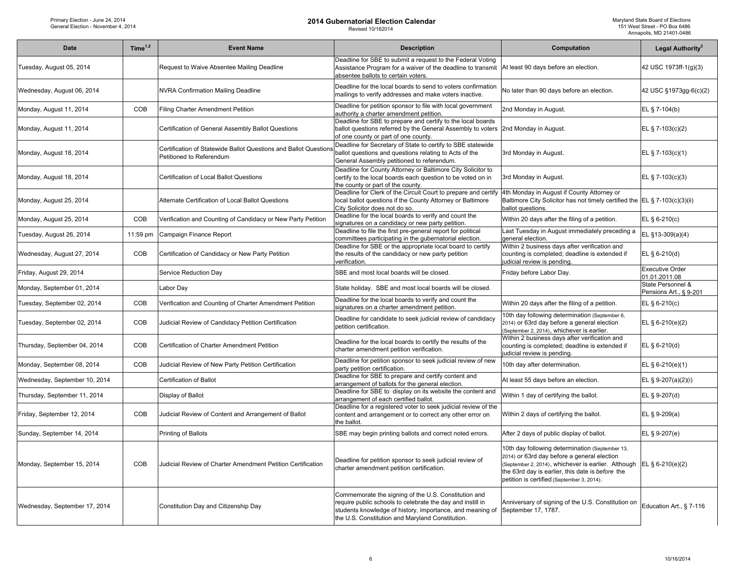| <b>Date</b>                   | Time $1,2$ | <b>Event Name</b>                                                                            | <b>Description</b>                                                                                                                                                                                                                  | Computation                                                                                                                                                                                                                                                              | Legal Authority <sup>3</sup>                |
|-------------------------------|------------|----------------------------------------------------------------------------------------------|-------------------------------------------------------------------------------------------------------------------------------------------------------------------------------------------------------------------------------------|--------------------------------------------------------------------------------------------------------------------------------------------------------------------------------------------------------------------------------------------------------------------------|---------------------------------------------|
| Tuesday, August 05, 2014      |            | Request to Waive Absentee Mailing Deadline                                                   | Deadline for SBE to submit a request to the Federal Voting<br>Assistance Program for a waiver of the deadline to transmit<br>absentee ballots to certain voters.                                                                    | At least 90 days before an election.                                                                                                                                                                                                                                     | 42 USC 1973ff-1(g)(3)                       |
| Wednesday, August 06, 2014    |            | <b>NVRA Confirmation Mailing Deadline</b>                                                    | Deadline for the local boards to send to voters confirmation<br>mailings to verify addresses and make voters inactive.                                                                                                              | No later than 90 days before an election.                                                                                                                                                                                                                                | 42 USC §1973gg-6(c)(2)                      |
| Monday, August 11, 2014       | COB        | Filing Charter Amendment Petition                                                            | Deadline for petition sponsor to file with local government<br>authority a charter amendment petition.                                                                                                                              | 2nd Monday in August.                                                                                                                                                                                                                                                    | EL § 7-104(b)                               |
| Monday, August 11, 2014       |            | Certification of General Assembly Ballot Questions                                           | Deadline for SBE to prepare and certify to the local boards<br>ballot questions referred by the General Assembly to voters<br>of one county or part of one county.                                                                  | 2nd Monday in August.                                                                                                                                                                                                                                                    | EL § 7-103(c)(2)                            |
| Monday, August 18, 2014       |            | Certification of Statewide Ballot Questions and Ballot Questions<br>Petitioned to Referendum | Deadline for Secretary of State to certify to SBE statewide<br>ballot questions and questions relating to Acts of the<br>General Assembly petitioned to referendum.                                                                 | 3rd Monday in August.                                                                                                                                                                                                                                                    | EL § 7-103(c)(1)                            |
| Monday, August 18, 2014       |            | Certification of Local Ballot Questions                                                      | Deadline for County Attorney or Baltimore City Solicitor to<br>certify to the local boards each question to be voted on in<br>the county or part of the county.                                                                     | 3rd Monday in August.                                                                                                                                                                                                                                                    | EL § 7-103(c)(3)                            |
| Monday, August 25, 2014       |            | Alternate Certification of Local Ballot Questions                                            | Deadline for Clerk of the Circuit Court to prepare and certify<br>local ballot questions if the County Attorney or Baltimore<br>City Solicitor does not do so.                                                                      | 4th Monday in August if County Attorney or<br>Baltimore City Solicitor has not timely certified the $ E L \S 7-103(c)(3)(ii) $<br>ballot questions.                                                                                                                      |                                             |
| Monday, August 25, 2014       | COB        | Verification and Counting of Candidacy or New Party Petition                                 | Deadline for the local boards to verify and count the<br>signatures on a candidacy or new party petition.                                                                                                                           | Within 20 days after the filing of a petition.                                                                                                                                                                                                                           | EL § 6-210(c)                               |
| Tuesday, August 26, 2014      | 11:59 pm   | Campaign Finance Report                                                                      | Deadline to file the first pre-general report for political<br>committees participating in the gubernatorial election.                                                                                                              | Last Tuesday in August immediately preceding a<br>general election.                                                                                                                                                                                                      | EL §13-309(a)(4)                            |
| Wednesday, August 27, 2014    | COB        | Certification of Candidacy or New Party Petition                                             | Deadline for SBE or the appropriate local board to certify<br>the results of the candidacy or new party petition<br>verification.                                                                                                   | Within 2 business days after verification and<br>counting is completed; deadline is extended if<br>judicial review is pending.                                                                                                                                           | EL § 6-210(d)                               |
| Friday, August 29, 2014       |            | Service Reduction Day                                                                        | SBE and most local boards will be closed.                                                                                                                                                                                           | Friday before Labor Day.                                                                                                                                                                                                                                                 | <b>Executive Order</b><br>01.01.2011.08     |
| Monday, September 01, 2014    |            | Labor Day                                                                                    | State holiday. SBE and most local boards will be closed.                                                                                                                                                                            |                                                                                                                                                                                                                                                                          | State Personnel &<br>Pensions Art., § 9-201 |
| Tuesday, September 02, 2014   | COB        | Verification and Counting of Charter Amendment Petition                                      | Deadline for the local boards to verify and count the<br>signatures on a charter amendment petition.                                                                                                                                | Within 20 days after the filing of a petition.                                                                                                                                                                                                                           | EL § 6-210(c)                               |
| Tuesday, September 02, 2014   | COB        | Judicial Review of Candidacy Petition Certification                                          | Deadline for candidate to seek judicial review of candidacy<br>petition certification.                                                                                                                                              | 10th day following determination (September 6,<br>2014) or 63rd day before a general election<br>(September 2, 2014), whichever is earlier.                                                                                                                              | EL § 6-210(e)(2)                            |
| Thursday, September 04, 2014  | COB        | Certification of Charter Amendment Petition                                                  | Deadline for the local boards to certify the results of the<br>charter amendment petition verification.                                                                                                                             | Within 2 business days after verification and<br>counting is completed; deadline is extended if<br>judicial review is pending.                                                                                                                                           | $EL § 6-210(d)$                             |
| Monday, September 08, 2014    | COB        | Judicial Review of New Party Petition Certification                                          | Deadline for petition sponsor to seek judicial review of new<br>party petition certification.                                                                                                                                       | 10th day after determination.                                                                                                                                                                                                                                            | EL $§$ 6-210(e)(1)                          |
| Wednesday, September 10, 2014 |            | Certification of Ballot                                                                      | Deadline for SBE to prepare and certify content and<br>arrangement of ballots for the general election.                                                                                                                             | At least 55 days before an election.                                                                                                                                                                                                                                     | EL § 9-207(a)(2)(i)                         |
| Thursday, September 11, 2014  |            | Display of Ballot                                                                            | Deadline for SBE to display on its website the content and<br>arrangement of each certified ballot.                                                                                                                                 | Within 1 day of certifying the ballot.                                                                                                                                                                                                                                   | EL § 9-207(d)                               |
| Friday, September 12, 2014    | COB        | Judicial Review of Content and Arrangement of Ballot                                         | Deadline for a registered voter to seek judicial review of the<br>content and arrangement or to correct any other error on<br>the ballot.                                                                                           | Within 2 days of certifying the ballot.                                                                                                                                                                                                                                  | EL $§ 9-209(a)$                             |
| Sunday, September 14, 2014    |            | Printing of Ballots                                                                          | SBE may begin printing ballots and correct noted errors.                                                                                                                                                                            | After 2 days of public display of ballot.                                                                                                                                                                                                                                | EL § 9-207(e)                               |
| Monday, September 15, 2014    | COB        | Judicial Review of Charter Amendment Petition Certification                                  | Deadline for petition sponsor to seek judicial review of<br>charter amendment petition certification.                                                                                                                               | 10th day following determination (September 13,<br>2014) or 63rd day before a general election<br>(September 2, 2014), whichever is earlier. Although EL § 6-210(e)(2)<br>the 63rd day is earlier, this date is before the<br>petition is certified (September 3, 2014). |                                             |
| Wednesday, September 17, 2014 |            | Constitution Day and Citizenship Day                                                         | Commemorate the signing of the U.S. Constitution and<br>require public schools to celebrate the day and instill in<br>students knowledge of history, importance, and meaning of<br>the U.S. Constitution and Maryland Constitution. | Anniversary of signing of the U.S. Constitution on<br>September 17, 1787.                                                                                                                                                                                                | Education Art., § 7-116                     |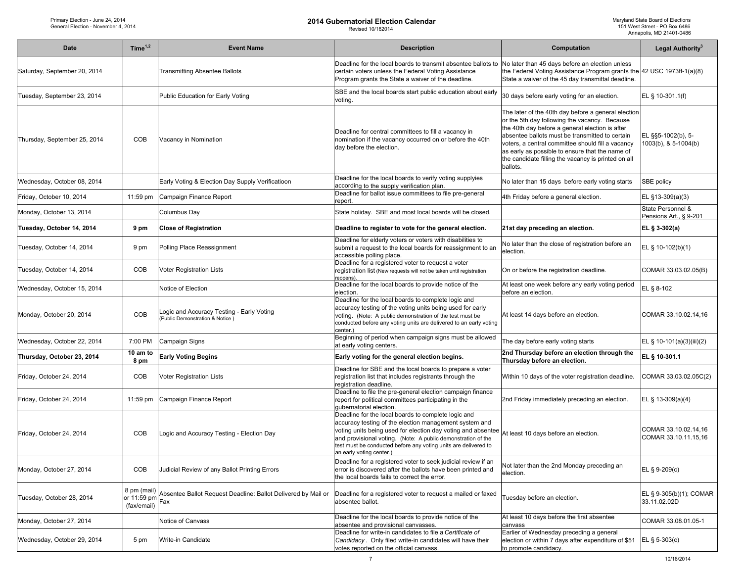| Date                         | Time $1,2$                                | <b>Event Name</b>                                                           | <b>Description</b>                                                                                                                                                                                                                                                                                                                           | Computation                                                                                                                                                                                                                                                                                                                                                                           | Legal Authority <sup>3</sup>                 |
|------------------------------|-------------------------------------------|-----------------------------------------------------------------------------|----------------------------------------------------------------------------------------------------------------------------------------------------------------------------------------------------------------------------------------------------------------------------------------------------------------------------------------------|---------------------------------------------------------------------------------------------------------------------------------------------------------------------------------------------------------------------------------------------------------------------------------------------------------------------------------------------------------------------------------------|----------------------------------------------|
| Saturday, September 20, 2014 |                                           | Transmitting Absentee Ballots                                               | Deadline for the local boards to transmit absentee ballots to<br>certain voters unless the Federal Voting Assistance<br>Program grants the State a waiver of the deadline.                                                                                                                                                                   | No later than 45 days before an election unless<br>the Federal Voting Assistance Program grants the 42 USC 1973ff-1(a)(8)<br>State a waiver of the 45 day transmittal deadline.                                                                                                                                                                                                       |                                              |
| Tuesday, September 23, 2014  |                                           | Public Education for Early Voting                                           | SBE and the local boards start public education about early<br>voting.                                                                                                                                                                                                                                                                       | 30 days before early voting for an election.                                                                                                                                                                                                                                                                                                                                          | EL § 10-301.1(f)                             |
| Thursday, September 25, 2014 | COB                                       | Vacancy in Nomination                                                       | Deadline for central committees to fill a vacancy in<br>nomination if the vacancy occurred on or before the 40th<br>day before the election.                                                                                                                                                                                                 | The later of the 40th day before a general election<br>or the 5th day following the vacancy. Because<br>the 40th day before a general election is after<br>absentee ballots must be transmitted to certain<br>voters, a central committee should fill a vacancy<br>as early as possible to ensure that the name of<br>the candidate filling the vacancy is printed on all<br>ballots. | EL §§5-1002(b), 5-<br>1003(b), & 5-1004(b)   |
| Wednesday, October 08, 2014  |                                           | Early Voting & Election Day Supply Verificatioon                            | Deadline for the local boards to verify voting supplyies<br>according to the supply verification plan.                                                                                                                                                                                                                                       | No later than 15 days before early voting starts                                                                                                                                                                                                                                                                                                                                      | SBE policy                                   |
| Friday, October 10, 2014     | 11:59 pm                                  | Campaign Finance Report                                                     | Deadline for ballot issue committees to file pre-general<br>report.                                                                                                                                                                                                                                                                          | 4th Friday before a general election.                                                                                                                                                                                                                                                                                                                                                 | EL §13-309(a)(3)                             |
| Monday, October 13, 2014     |                                           | Columbus Day                                                                | State holiday. SBE and most local boards will be closed.                                                                                                                                                                                                                                                                                     |                                                                                                                                                                                                                                                                                                                                                                                       | State Personnel &<br>Pensions Art., § 9-201  |
| Tuesday, October 14, 2014    | 9 pm                                      | <b>Close of Registration</b>                                                | Deadline to register to vote for the general election.                                                                                                                                                                                                                                                                                       | 21st day preceding an election.                                                                                                                                                                                                                                                                                                                                                       | EL § 3-302(a)                                |
| Tuesday, October 14, 2014    | 9 pm                                      | Polling Place Reassignment                                                  | Deadline for elderly voters or voters with disabilities to<br>submit a request to the local boards for reassignment to an<br>accessible polling place.                                                                                                                                                                                       | No later than the close of registration before an<br>election.                                                                                                                                                                                                                                                                                                                        | EL § 10-102(b)(1)                            |
| Tuesday, October 14, 2014    | COB                                       | <b>Voter Registration Lists</b>                                             | Deadline for a registered voter to request a voter<br>registration list (New requests will not be taken until registration<br>eopens).                                                                                                                                                                                                       | On or before the registration deadline.                                                                                                                                                                                                                                                                                                                                               | COMAR 33.03.02.05(B)                         |
| Wednesday, October 15, 2014  |                                           | Notice of Election                                                          | Deadline for the local boards to provide notice of the<br>election.                                                                                                                                                                                                                                                                          | At least one week before any early voting period<br>before an election.                                                                                                                                                                                                                                                                                                               | EL § 8-102                                   |
| Monday, October 20, 2014     | COB                                       | ogic and Accuracy Testing - Early Voting<br>(Public Demonstration & Notice) | Deadline for the local boards to complete logic and<br>accuracy testing of the voting units being used for early<br>voting. (Note: A public demonstration of the test must be<br>conducted before any voting units are delivered to an early voting<br>center.)                                                                              | At least 14 days before an election.                                                                                                                                                                                                                                                                                                                                                  | COMAR 33.10.02.14,16                         |
| Wednesday, October 22, 2014  | 7:00 PM                                   | Campaign Signs                                                              | Beginning of period when campaign signs must be allowed<br>at early voting centers.                                                                                                                                                                                                                                                          | The day before early voting starts                                                                                                                                                                                                                                                                                                                                                    | EL § 10-101(a)(3)(iii)(2)                    |
| Thursday, October 23, 2014   | 10 am to<br>8 pm                          | <b>Early Voting Begins</b>                                                  | Early voting for the general election begins.                                                                                                                                                                                                                                                                                                | 2nd Thursday before an election through the<br>Thursday before an election.                                                                                                                                                                                                                                                                                                           | EL § 10-301.1                                |
| Friday, October 24, 2014     | COB                                       | Voter Registration Lists                                                    | Deadline for SBE and the local boards to prepare a voter<br>egistration list that includes registrants through the<br>egistration deadline.                                                                                                                                                                                                  | Within 10 days of the voter registration deadline.                                                                                                                                                                                                                                                                                                                                    | COMAR 33.03.02.05C(2)                        |
| Friday, October 24, 2014     | 11:59 pm                                  | Campaign Finance Report                                                     | Deadline to file the pre-general election campaign finance<br>report for political committees participating in the<br>qubernatorial election.                                                                                                                                                                                                | 2nd Friday immediately preceding an election.                                                                                                                                                                                                                                                                                                                                         | EL § 13-309(a)(4)                            |
| Friday, October 24, 2014     | COB                                       | ogic and Accuracy Testing - Election Day                                    | Deadline for the local boards to complete logic and<br>accuracy testing of the election management system and<br>voting units being used for election day voting and absentee<br>and provisional voting. (Note: A public demonstration of the<br>test must be conducted before any voting units are delivered to<br>an early voting center.) | At least 10 days before an election.                                                                                                                                                                                                                                                                                                                                                  | COMAR 33.10.02.14,16<br>COMAR 33.10.11.15,16 |
| Monday, October 27, 2014     | COB                                       | Judicial Review of any Ballot Printing Errors                               | Deadline for a registered voter to seek judicial review if an<br>error is discovered after the ballots have been printed and<br>the local boards fails to correct the error.                                                                                                                                                                 | Not later than the 2nd Monday preceding an<br>election.                                                                                                                                                                                                                                                                                                                               | EL § 9-209(c)                                |
| Tuesday, October 28, 2014    | 8 pm (mail)<br>or 11:59 pm<br>(fax/email) | Absentee Ballot Request Deadline: Ballot Delivered by Mail or<br>Fax        | Deadline for a registered voter to request a mailed or faxed<br>absentee ballot.                                                                                                                                                                                                                                                             | Tuesday before an election.                                                                                                                                                                                                                                                                                                                                                           | EL § 9-305(b)(1); COMAR<br>33.11.02.02D      |
| Monday, October 27, 2014     |                                           | Notice of Canvass                                                           | Deadline for the local boards to provide notice of the<br>absentee and provisional canvasses.                                                                                                                                                                                                                                                | At least 10 days before the first absentee<br>canvass                                                                                                                                                                                                                                                                                                                                 | COMAR 33.08.01.05-1                          |
| Wednesday, October 29, 2014  | 5 pm                                      | Write-in Candidate                                                          | Deadline for write-in candidates to file a Certificate of<br>Candidacy. Only filed write-in candidates will have their<br>votes reported on the official canvass.                                                                                                                                                                            | Earlier of Wednesday preceding a general<br>election or within 7 days after expenditure of \$51<br>to promote candidacy.                                                                                                                                                                                                                                                              | EL $\S$ 5-303(c)                             |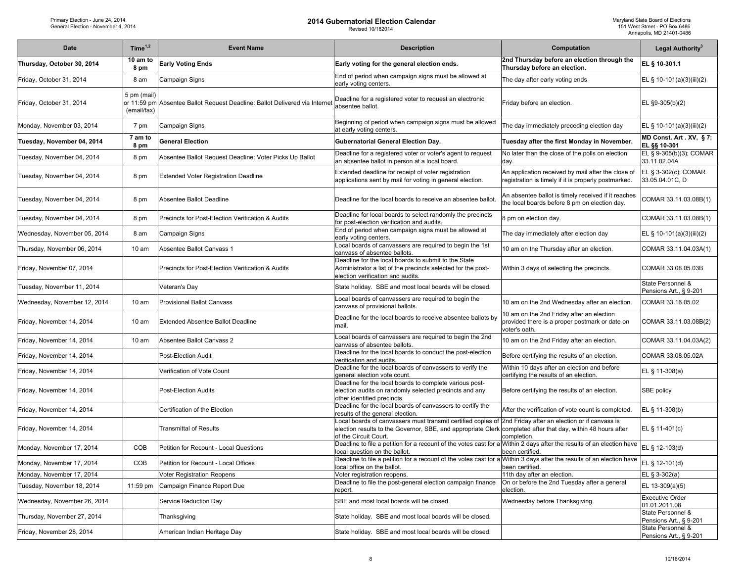| <b>Date</b>                  | Time $1,2$                 | <b>Event Name</b>                                                           | <b>Description</b>                                                                                                                                                                                                                                  | Computation                                                                                                  | Legal Authority <sup>3</sup>                |
|------------------------------|----------------------------|-----------------------------------------------------------------------------|-----------------------------------------------------------------------------------------------------------------------------------------------------------------------------------------------------------------------------------------------------|--------------------------------------------------------------------------------------------------------------|---------------------------------------------|
| Thursday, October 30, 2014   | 10 am to<br>8 pm           | <b>Early Voting Ends</b>                                                    | Early voting for the general election ends.                                                                                                                                                                                                         | 2nd Thursday before an election through the<br>Thursday before an election.                                  | EL § 10-301.1                               |
| Friday, October 31, 2014     | 8 am                       | Campaign Signs                                                              | End of period when campaign signs must be allowed at<br>early voting centers.                                                                                                                                                                       | The day after early voting ends                                                                              | EL § 10-101(a)(3)(iii)(2)                   |
| Friday, October 31, 2014     | 5 pm (mail)<br>(email/fax) | or 11:59 pm Absentee Ballot Request Deadline: Ballot Delivered via Internet | Deadline for a registered voter to request an electronic<br>absentee ballot.                                                                                                                                                                        | Friday before an election.                                                                                   | EL §9-305(b)(2)                             |
| Monday, November 03, 2014    | 7 pm                       | Campaign Signs                                                              | Beginning of period when campaign signs must be allowed<br>at early voting centers.                                                                                                                                                                 | The day immediately preceding election day                                                                   | EL § 10-101(a)(3)(iii)(2)                   |
| Tuesday, November 04, 2014   | 7 am to<br>8 pm            | <b>General Election</b>                                                     | <b>Gubernatorial General Election Day.</b>                                                                                                                                                                                                          | Tuesday after the first Monday in November.                                                                  | MD Const. Art . XV, §7;<br>EL §§ 10-301     |
| Tuesday, November 04, 2014   | 8 pm                       | Absentee Ballot Request Deadline: Voter Picks Up Ballot                     | Deadline for a registered voter or voter's agent to request<br>an absentee ballot in person at a local board.                                                                                                                                       | No later than the close of the polls on election<br>day.                                                     | EL § 9-305(b)(3); COMAR<br>33.11.02.04A     |
| Tuesday, November 04, 2014   | 8 pm                       | <b>Extended Voter Registration Deadline</b>                                 | Extended deadline for receipt of voter registration<br>applications sent by mail for voting in general election.                                                                                                                                    | An application received by mail after the close of<br>registration is timely if it is properly postmarked.   | EL § 3-302(c); COMAR<br>33.05.04.01C, D     |
| Tuesday, November 04, 2014   | 8 pm                       | Absentee Ballot Deadline                                                    | Deadline for the local boards to receive an absentee ballot.                                                                                                                                                                                        | An absentee ballot is timely received if it reaches<br>the local boards before 8 pm on election day.         | COMAR 33.11.03.08B(1)                       |
| Tuesday, November 04, 2014   | 8 pm                       | Precincts for Post-Election Verification & Audits                           | Deadline for local boards to select randomly the precincts<br>for post-election verification and audits.                                                                                                                                            | 8 pm on election day.                                                                                        | COMAR 33.11.03.08B(1)                       |
| Wednesday, November 05, 2014 | 8 am                       | Campaign Signs                                                              | End of period when campaign signs must be allowed at<br>early voting centers.                                                                                                                                                                       | The day immediately after election day                                                                       | EL § 10-101(a)(3)(iii)(2)                   |
| Thursday, November 06, 2014  | 10 <sub>am</sub>           | Absentee Ballot Canvass 1                                                   | Local boards of canvassers are required to begin the 1st<br>canvass of absentee ballots.                                                                                                                                                            | 10 am on the Thursday after an election.                                                                     | COMAR 33.11.04.03A(1)                       |
| Friday, November 07, 2014    |                            | Precincts for Post-Election Verification & Audits                           | Deadline for the local boards to submit to the State<br>Administrator a list of the precincts selected for the post-<br>election verification and audits.                                                                                           | Within 3 days of selecting the precincts.                                                                    | COMAR 33.08.05.03B                          |
| Tuesday, November 11, 2014   |                            | Veteran's Day                                                               | State holiday. SBE and most local boards will be closed.                                                                                                                                                                                            |                                                                                                              | State Personnel &<br>Pensions Art., § 9-201 |
| Wednesday, November 12, 2014 | 10 am                      | <b>Provisional Ballot Canvass</b>                                           | Local boards of canvassers are required to begin the<br>canvass of provisional ballots.                                                                                                                                                             | 10 am on the 2nd Wednesday after an election.                                                                | COMAR 33.16.05.02                           |
| Friday, November 14, 2014    | 10 <sub>am</sub>           | Extended Absentee Ballot Deadline                                           | Deadline for the local boards to receive absentee ballots by<br>mail.                                                                                                                                                                               | 10 am on the 2nd Friday after an election<br>provided there is a proper postmark or date on<br>voter's oath. | COMAR 33.11.03.08B(2)                       |
| Friday, November 14, 2014    | 10 <sub>am</sub>           | Absentee Ballot Canvass 2                                                   | Local boards of canvassers are required to begin the 2nd<br>canvass of absentee ballots.                                                                                                                                                            | 10 am on the 2nd Friday after an election.                                                                   | COMAR 33.11.04.03A(2)                       |
| Friday, November 14, 2014    |                            | Post-Election Audit                                                         | Deadline for the local boards to conduct the post-election<br>verification and audits.                                                                                                                                                              | Before certifying the results of an election.                                                                | COMAR 33.08.05.02A                          |
| Friday, November 14, 2014    |                            | Verification of Vote Count                                                  | Deadline for the local boards of canvassers to verify the<br>general election vote count.                                                                                                                                                           | Within 10 days after an election and before<br>certifying the results of an election.                        | EL § 11-308(a)                              |
| Friday, November 14, 2014    |                            | Post-Election Audits                                                        | Deadline for the local boards to complete various post-<br>election audits on randomly selected precincts and any<br>other identified precincts.                                                                                                    | Before certifying the results of an election.                                                                | SBE policy                                  |
| Friday, November 14, 2014    |                            | Certification of the Election                                               | Deadline for the local boards of canvassers to certify the<br>results of the general election.                                                                                                                                                      | After the verification of vote count is completed.                                                           | EL § 11-308(b)                              |
| Friday, November 14, 2014    |                            | <b>Transmittal of Results</b>                                               | Local boards of canvassers must transmit certified copies of 2nd Friday after an election or if canvass is<br>election results to the Governor, SBE, and appropriate Clerk completed after that day, within 48 hours after<br>of the Circuit Court. | completion.                                                                                                  | EL § 11-401(c)                              |
| Monday, November 17, 2014    | COB                        | Petition for Recount - Local Questions                                      | Deadline to file a petition for a recount of the votes cast for a<br>local question on the ballot.                                                                                                                                                  | Within 2 days after the results of an election have<br>been certified.                                       | EL § 12-103(d)                              |
| Monday, November 17, 2014    | COB                        | Petition for Recount - Local Offices                                        | Deadline to file a petition for a recount of the votes cast for a Within 3 days after the results of an election have<br>local office on the ballot.                                                                                                | been certified.                                                                                              | EL $\S$ 12-101(d)                           |
| Monday, November 17, 2014    |                            | <b>Voter Registration Reopens</b>                                           | Voter registration reopens.                                                                                                                                                                                                                         | 11th day after an election.                                                                                  | EL $§$ 3-302(a)                             |
| Tuesday, November 18, 2014   | 11:59 pm                   | Campaign Finance Report Due                                                 | Deadline to file the post-general election campaign finance<br>report.                                                                                                                                                                              | On or before the 2nd Tuesday after a general<br>election.                                                    | EL 13-309(a)(5)                             |
| Wednesday, November 26, 2014 |                            | Service Reduction Day                                                       | SBE and most local boards will be closed.                                                                                                                                                                                                           | Wednesday before Thanksgiving.                                                                               | <b>Executive Order</b><br>01.01.2011.08     |
| Thursday, November 27, 2014  |                            | Thanksgiving                                                                | State holiday. SBE and most local boards will be closed.                                                                                                                                                                                            |                                                                                                              | State Personnel &<br>Pensions Art., § 9-201 |
| Friday, November 28, 2014    |                            | American Indian Heritage Day                                                | State holiday. SBE and most local boards will be closed.                                                                                                                                                                                            |                                                                                                              | State Personnel &<br>Pensions Art., § 9-201 |